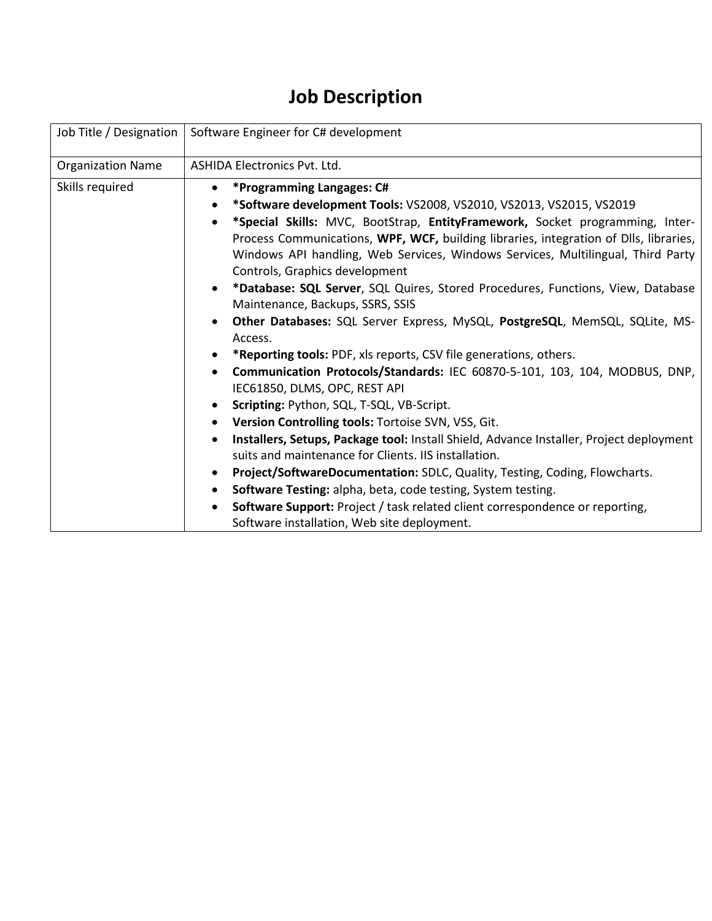## **Job Description**

| Job Title / Designation<br>Software Engineer for C# development                                                                                                                                                                                                                                                                                                                                                                                                                                                                                                                                                                                                                                                                                                                                                                                                                                                                                                                                                                                                                                                                                                                                                                                                                                                                                                                                                                  |
|----------------------------------------------------------------------------------------------------------------------------------------------------------------------------------------------------------------------------------------------------------------------------------------------------------------------------------------------------------------------------------------------------------------------------------------------------------------------------------------------------------------------------------------------------------------------------------------------------------------------------------------------------------------------------------------------------------------------------------------------------------------------------------------------------------------------------------------------------------------------------------------------------------------------------------------------------------------------------------------------------------------------------------------------------------------------------------------------------------------------------------------------------------------------------------------------------------------------------------------------------------------------------------------------------------------------------------------------------------------------------------------------------------------------------------|
| <b>ASHIDA Electronics Pvt. Ltd.</b>                                                                                                                                                                                                                                                                                                                                                                                                                                                                                                                                                                                                                                                                                                                                                                                                                                                                                                                                                                                                                                                                                                                                                                                                                                                                                                                                                                                              |
| *Programming Langages: C#<br>$\bullet$<br>*Software development Tools: VS2008, VS2010, VS2013, VS2015, VS2019<br>*Special Skills: MVC, BootStrap, EntityFramework, Socket programming, Inter-<br>Process Communications, WPF, WCF, building libraries, integration of Dlls, libraries,<br>Windows API handling, Web Services, Windows Services, Multilingual, Third Party<br>Controls, Graphics development<br>*Database: SQL Server, SQL Quires, Stored Procedures, Functions, View, Database<br>$\bullet$<br>Maintenance, Backups, SSRS, SSIS<br>Other Databases: SQL Server Express, MySQL, PostgreSQL, MemSQL, SQLite, MS-<br>Access.<br>*Reporting tools: PDF, xls reports, CSV file generations, others.<br>٠<br>Communication Protocols/Standards: IEC 60870-5-101, 103, 104, MODBUS, DNP,<br>$\bullet$<br>IEC61850, DLMS, OPC, REST API<br>Scripting: Python, SQL, T-SQL, VB-Script.<br>$\bullet$<br>Version Controlling tools: Tortoise SVN, VSS, Git.<br>Installers, Setups, Package tool: Install Shield, Advance Installer, Project deployment<br>suits and maintenance for Clients. IIS installation.<br>Project/SoftwareDocumentation: SDLC, Quality, Testing, Coding, Flowcharts.<br>$\bullet$<br>Software Testing: alpha, beta, code testing, System testing.<br><b>Software Support:</b> Project / task related client correspondence or reporting,<br>$\bullet$<br>Software installation, Web site deployment. |
|                                                                                                                                                                                                                                                                                                                                                                                                                                                                                                                                                                                                                                                                                                                                                                                                                                                                                                                                                                                                                                                                                                                                                                                                                                                                                                                                                                                                                                  |